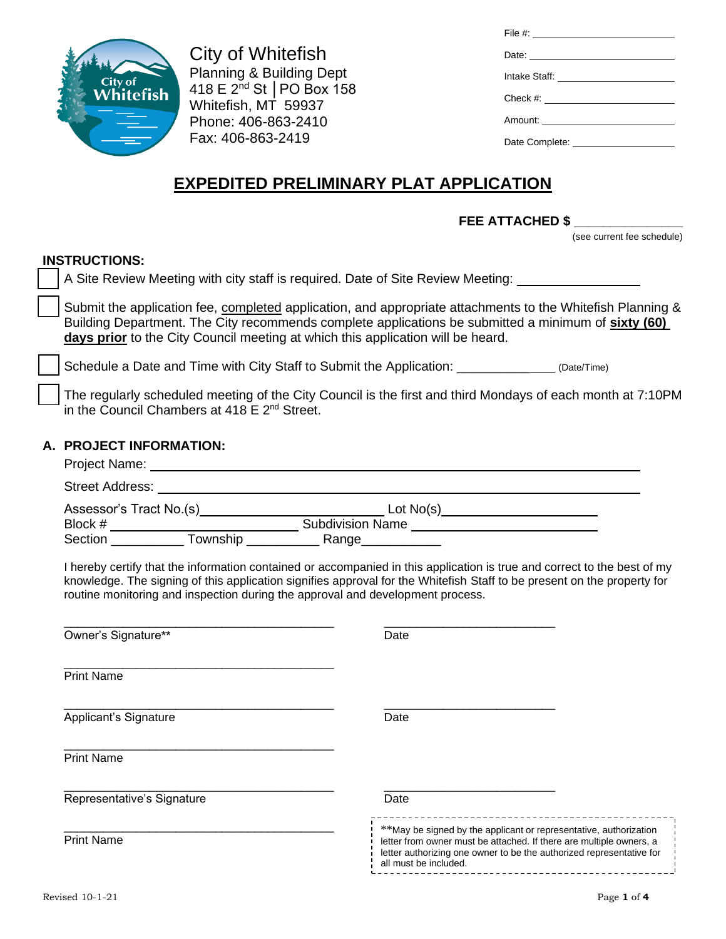

City of Whitefish Planning & Building Dept 418 E 2nd St │PO Box 158 Whitefish, MT 59937 Phone: 406-863-2410 Fax: 406-863-2419

| Date: <u>Date:</u> |
|--------------------|
|                    |
|                    |
|                    |
|                    |

# **EXPEDITED PRELIMINARY PLAT APPLICATION**

**FEE ATTACHED \$ \_\_\_\_\_\_\_\_\_\_\_\_\_\_\_** 

(see current fee schedule)

### **INSTRUCTIONS:**

A Site Review Meeting with city staff is required. Date of Site Review Meeting: 1988 and Sate Review Meeting:

Submit the application fee, completed application, and appropriate attachments to the Whitefish Planning & Building Department. The City recommends complete applications be submitted a minimum of **sixty (60) days prior** to the City Council meeting at which this application will be heard.

Schedule a Date and Time with City Staff to Submit the Application:  $(Date/Time)$ 

The regularly scheduled meeting of the City Council is the first and third Mondays of each month at 7:10PM in the Council Chambers at 418 E 2<sup>nd</sup> Street.

### **A. PROJECT INFORMATION:**

| Project Name:           |                         |
|-------------------------|-------------------------|
| Street Address:         |                         |
| Assessor's Tract No.(s) | Lot $No(s)$             |
| Block #                 | <b>Subdivision Name</b> |
| Section<br>Township     | Range__                 |

I hereby certify that the information contained or accompanied in this application is true and correct to the best of my knowledge. The signing of this application signifies approval for the Whitefish Staff to be present on the property for routine monitoring and inspection during the approval and development process.

| Date                                                                                                                                                                                                                                      |
|-------------------------------------------------------------------------------------------------------------------------------------------------------------------------------------------------------------------------------------------|
|                                                                                                                                                                                                                                           |
| Date                                                                                                                                                                                                                                      |
|                                                                                                                                                                                                                                           |
| Date                                                                                                                                                                                                                                      |
| **May be signed by the applicant or representative, authorization<br>letter from owner must be attached. If there are multiple owners, a<br>letter authorizing one owner to be the authorized representative for<br>all must be included. |
|                                                                                                                                                                                                                                           |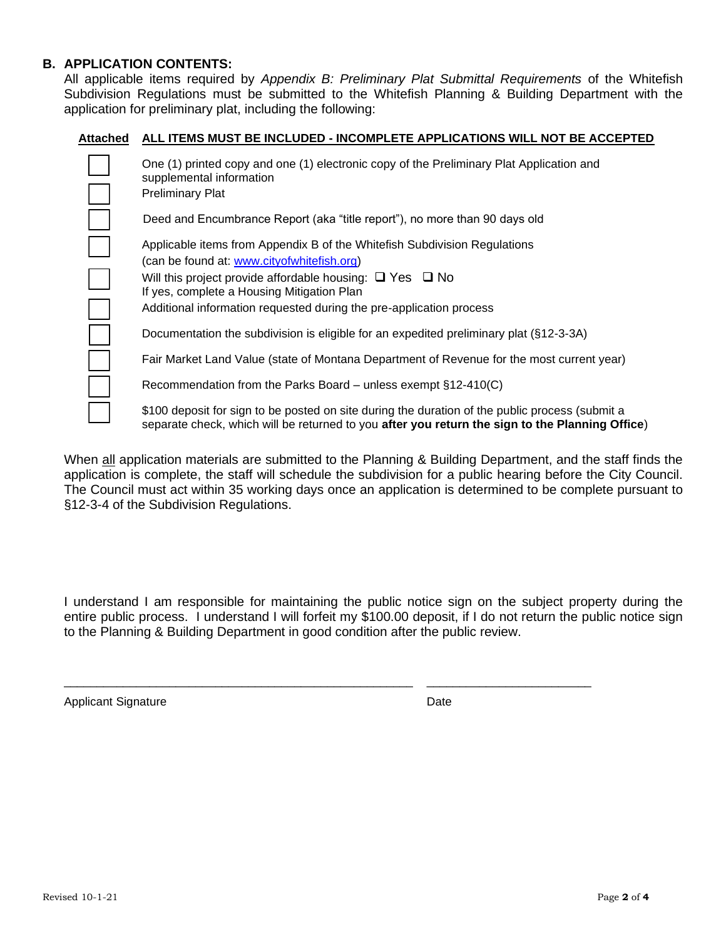#### **B. APPLICATION CONTENTS:**

All applicable items required by *Appendix B: Preliminary Plat Submittal Requirements* of the Whitefish Subdivision Regulations must be submitted to the Whitefish Planning & Building Department with the application for preliminary plat, including the following:

#### **Attached ALL ITEMS MUST BE INCLUDED - INCOMPLETE APPLICATIONS WILL NOT BE ACCEPTED**

| One (1) printed copy and one (1) electronic copy of the Preliminary Plat Application and<br>supplemental information<br><b>Preliminary Plat</b>                                                                                                                                                                    |
|--------------------------------------------------------------------------------------------------------------------------------------------------------------------------------------------------------------------------------------------------------------------------------------------------------------------|
| Deed and Encumbrance Report (aka "title report"), no more than 90 days old                                                                                                                                                                                                                                         |
| Applicable items from Appendix B of the Whitefish Subdivision Regulations<br>(can be found at: www.cityofwhitefish.org)<br>Will this project provide affordable housing: $\Box$ Yes $\Box$ No<br>If yes, complete a Housing Mitigation Plan<br>Additional information requested during the pre-application process |
| Documentation the subdivision is eligible for an expedited preliminary plat (§12-3-3A)                                                                                                                                                                                                                             |
| Fair Market Land Value (state of Montana Department of Revenue for the most current year)                                                                                                                                                                                                                          |
| Recommendation from the Parks Board – unless exempt $\S12-410(C)$                                                                                                                                                                                                                                                  |
| \$100 deposit for sign to be posted on site during the duration of the public process (submit a<br>separate check, which will be returned to you after you return the sign to the Planning Office)                                                                                                                 |

When all application materials are submitted to the Planning & Building Department, and the staff finds the application is complete, the staff will schedule the subdivision for a public hearing before the City Council. The Council must act within 35 working days once an application is determined to be complete pursuant to §12-3-4 of the Subdivision Regulations.

I understand I am responsible for maintaining the public notice sign on the subject property during the entire public process. I understand I will forfeit my \$100.00 deposit, if I do not return the public notice sign to the Planning & Building Department in good condition after the public review.

\_\_\_\_\_\_\_\_\_\_\_\_\_\_\_\_\_\_\_\_\_\_\_\_\_\_\_\_\_\_\_\_\_\_\_\_\_\_\_\_\_\_\_\_\_\_\_\_\_\_\_\_\_ \_\_\_\_\_\_\_\_\_\_\_\_\_\_\_\_\_\_\_\_\_\_\_\_\_

Applicant Signature Date Date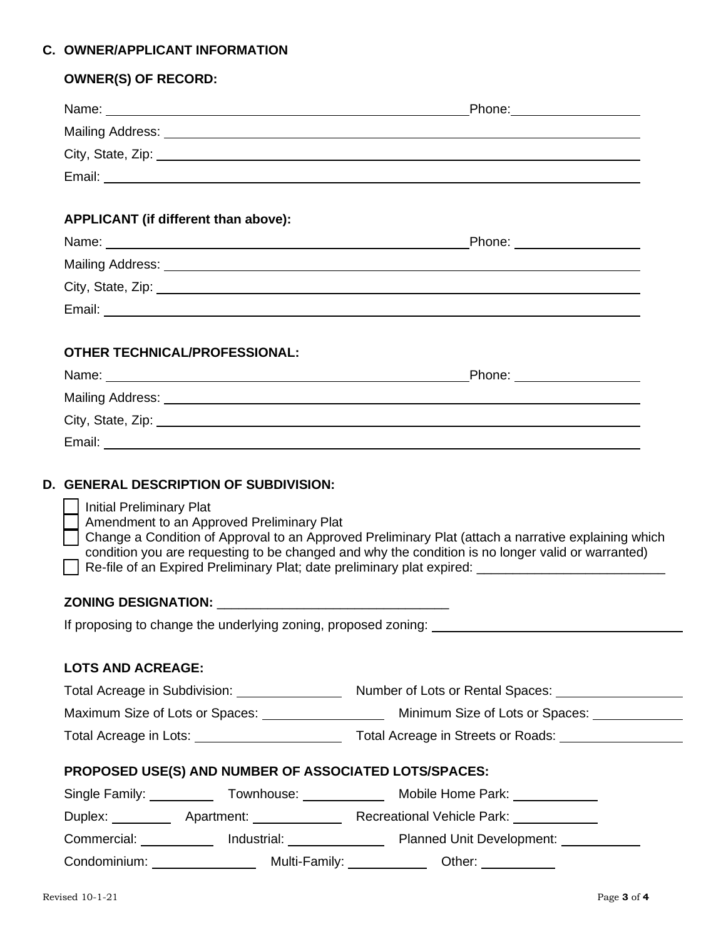## **C. OWNER/APPLICANT INFORMATION**

|                                 |                                                       | Phone: ____________________                                                                                                                                                                                                                                                                                          |
|---------------------------------|-------------------------------------------------------|----------------------------------------------------------------------------------------------------------------------------------------------------------------------------------------------------------------------------------------------------------------------------------------------------------------------|
|                                 |                                                       |                                                                                                                                                                                                                                                                                                                      |
|                                 |                                                       | City, State, Zip: 2008. All Contracts City, State, 2008. All Contracts City, State, 2008.                                                                                                                                                                                                                            |
|                                 |                                                       |                                                                                                                                                                                                                                                                                                                      |
|                                 |                                                       |                                                                                                                                                                                                                                                                                                                      |
|                                 | APPLICANT (if different than above):                  |                                                                                                                                                                                                                                                                                                                      |
|                                 |                                                       |                                                                                                                                                                                                                                                                                                                      |
|                                 |                                                       |                                                                                                                                                                                                                                                                                                                      |
|                                 |                                                       |                                                                                                                                                                                                                                                                                                                      |
|                                 |                                                       |                                                                                                                                                                                                                                                                                                                      |
|                                 | OTHER TECHNICAL/PROFESSIONAL:                         |                                                                                                                                                                                                                                                                                                                      |
|                                 |                                                       |                                                                                                                                                                                                                                                                                                                      |
|                                 |                                                       |                                                                                                                                                                                                                                                                                                                      |
|                                 |                                                       |                                                                                                                                                                                                                                                                                                                      |
|                                 |                                                       |                                                                                                                                                                                                                                                                                                                      |
|                                 | <b>D. GENERAL DESCRIPTION OF SUBDIVISION:</b>         |                                                                                                                                                                                                                                                                                                                      |
| <b>Initial Preliminary Plat</b> | Amendment to an Approved Preliminary Plat             | condition you are requesting to be changed and why the condition is no longer valid or warranted)                                                                                                                                                                                                                    |
|                                 |                                                       |                                                                                                                                                                                                                                                                                                                      |
|                                 |                                                       |                                                                                                                                                                                                                                                                                                                      |
|                                 |                                                       |                                                                                                                                                                                                                                                                                                                      |
|                                 |                                                       |                                                                                                                                                                                                                                                                                                                      |
| <b>LOTS AND ACREAGE:</b>        |                                                       |                                                                                                                                                                                                                                                                                                                      |
|                                 |                                                       |                                                                                                                                                                                                                                                                                                                      |
|                                 |                                                       |                                                                                                                                                                                                                                                                                                                      |
|                                 | PROPOSED USE(S) AND NUMBER OF ASSOCIATED LOTS/SPACES: | Change a Condition of Approval to an Approved Preliminary Plat (attach a narrative explaining which<br>Re-file of an Expired Preliminary Plat; date preliminary plat expired: ____________________________<br>Total Acreage in Lots: 1990 Total Acreage in Streets or Roads: 1991 Total Acreage in Streets or Roads: |
|                                 |                                                       | Single Family: _____________Townhouse: _____________________Mobile Home Park: _______________                                                                                                                                                                                                                        |
|                                 |                                                       | Duplex: ____________ Apartment: __________________ Recreational Vehicle Park: _____________<br>Commercial: ____________ Industrial: ________________ Planned Unit Development: ___________                                                                                                                           |